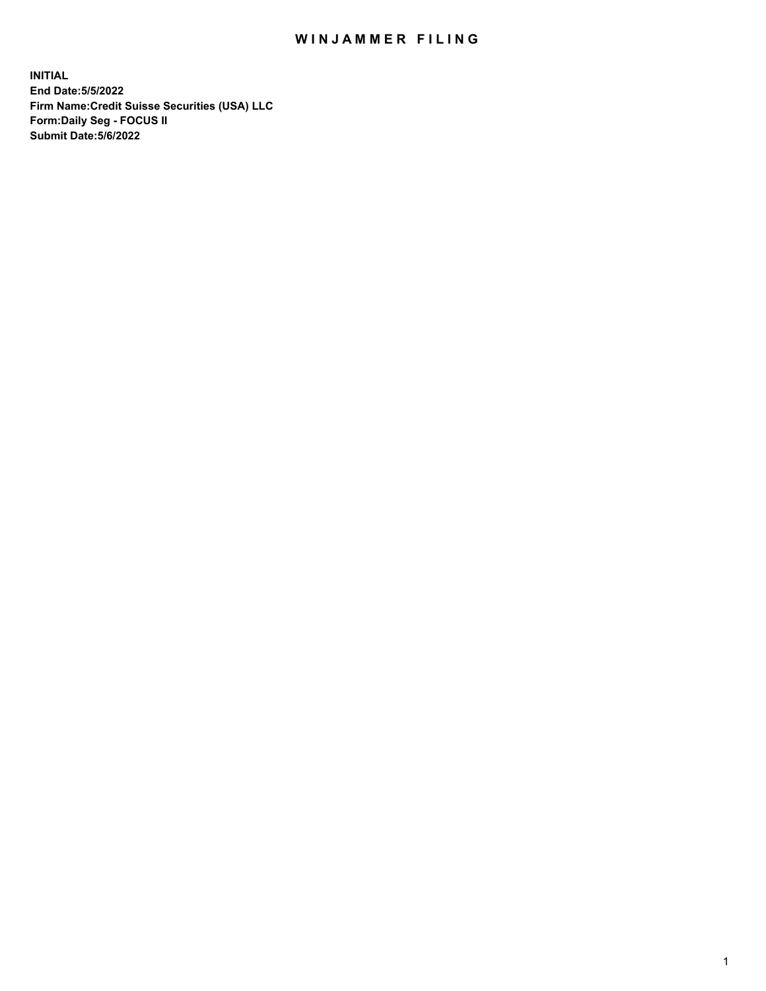# WIN JAMMER FILING

**INITIAL End Date:5/5/2022 Firm Name:Credit Suisse Securities (USA) LLC Form:Daily Seg - FOCUS II Submit Date:5/6/2022**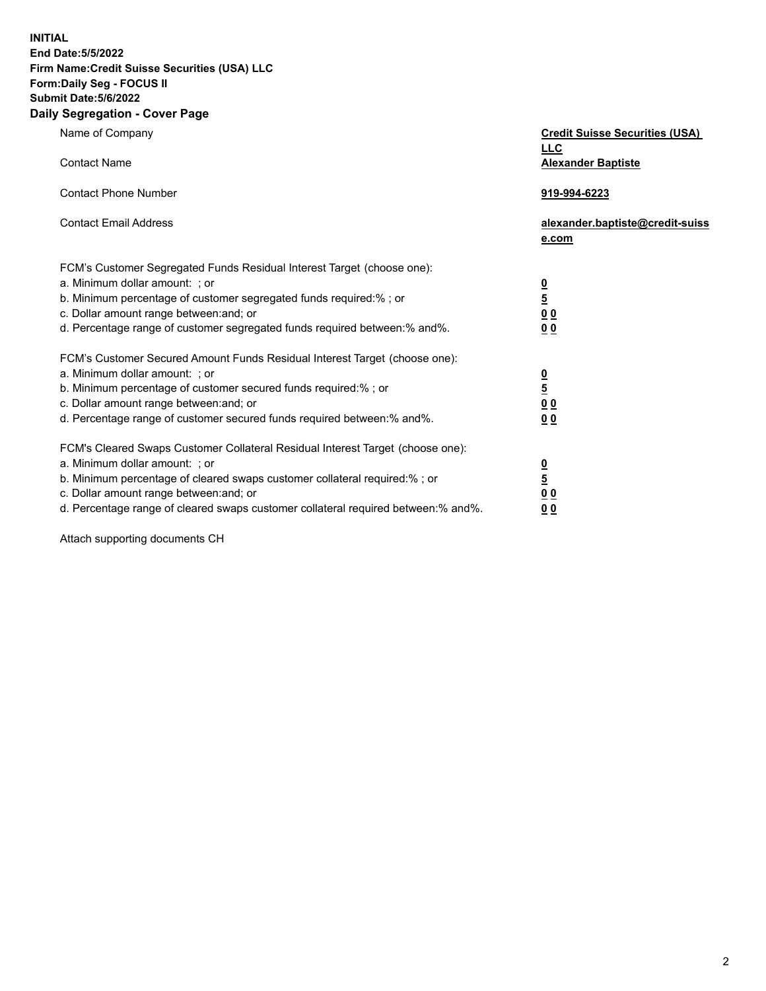**INITIAL**

#### **End Date:5/5/2022 Firm Name:Credit Suisse Securities (USA) LLC Form:Daily Seg - FOCUS II Submit Date:5/6/2022**

# **Daily Segregation - Cover Page**

| Name of Company                                                                                                                                                                                                                                                                                                                | <b>Credit Suisse Securities (USA)</b><br><b>LLC</b>                           |
|--------------------------------------------------------------------------------------------------------------------------------------------------------------------------------------------------------------------------------------------------------------------------------------------------------------------------------|-------------------------------------------------------------------------------|
| <b>Contact Name</b>                                                                                                                                                                                                                                                                                                            | <b>Alexander Baptiste</b>                                                     |
| <b>Contact Phone Number</b>                                                                                                                                                                                                                                                                                                    | 919-994-6223                                                                  |
| <b>Contact Email Address</b>                                                                                                                                                                                                                                                                                                   | alexander.baptiste@credit-suiss<br>e.com                                      |
| FCM's Customer Segregated Funds Residual Interest Target (choose one):<br>a. Minimum dollar amount: ; or<br>b. Minimum percentage of customer segregated funds required:% ; or<br>c. Dollar amount range between: and; or<br>d. Percentage range of customer segregated funds required between: % and %.                       | $\frac{0}{5}$<br>$\underline{0}$ $\underline{0}$<br>0 <sub>0</sub>            |
| FCM's Customer Secured Amount Funds Residual Interest Target (choose one):<br>a. Minimum dollar amount: ; or<br>b. Minimum percentage of customer secured funds required:%; or<br>c. Dollar amount range between: and; or<br>d. Percentage range of customer secured funds required between:% and%.                            | $\frac{0}{5}$<br>0 <sub>0</sub><br>0 <sub>0</sub>                             |
| FCM's Cleared Swaps Customer Collateral Residual Interest Target (choose one):<br>a. Minimum dollar amount: ; or<br>b. Minimum percentage of cleared swaps customer collateral required:% ; or<br>c. Dollar amount range between: and; or<br>d. Percentage range of cleared swaps customer collateral required between:% and%. | $\overline{\mathbf{0}}$<br>$\overline{5}$<br>0 <sub>0</sub><br>0 <sub>0</sub> |

Attach supporting documents CH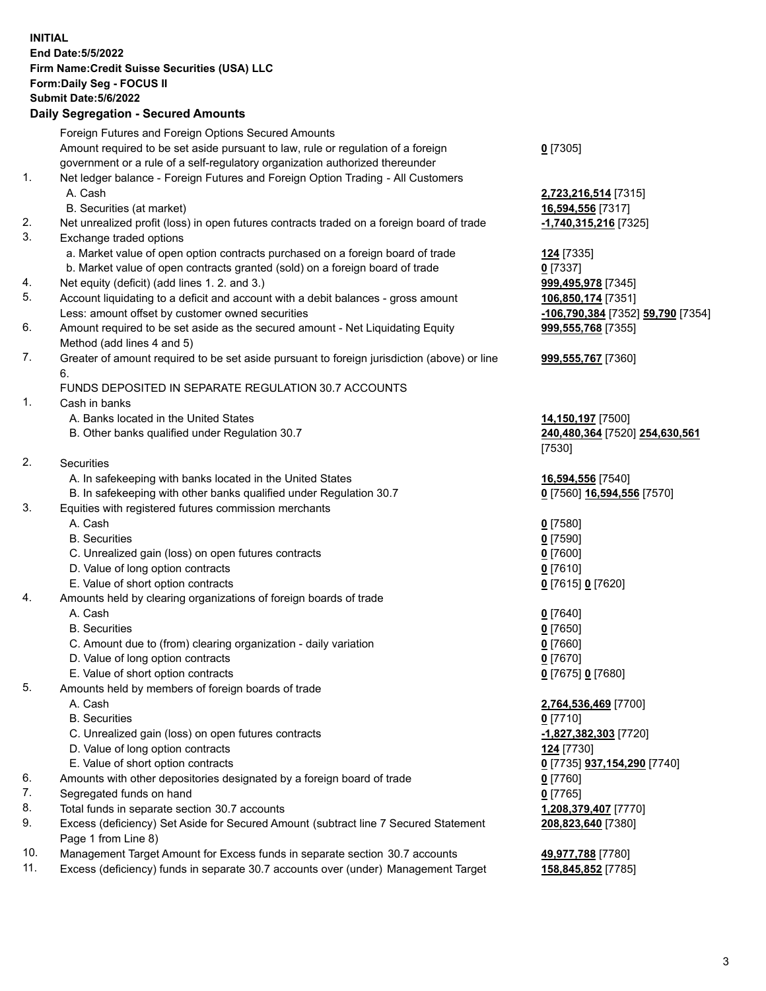### **INITIAL End Date:5/5/2022 Firm Name:Credit Suisse Securities (USA) LLC Form:Daily Seg - FOCUS II Submit Date:5/6/2022**

### **Daily Segregation - Secured Amounts**

|          | Foreign Futures and Foreign Options Secured Amounts                                                                                  |                                   |
|----------|--------------------------------------------------------------------------------------------------------------------------------------|-----------------------------------|
|          | Amount required to be set aside pursuant to law, rule or regulation of a foreign                                                     | $0$ [7305]                        |
|          | government or a rule of a self-regulatory organization authorized thereunder                                                         |                                   |
| 1.       | Net ledger balance - Foreign Futures and Foreign Option Trading - All Customers                                                      |                                   |
|          | A. Cash                                                                                                                              | 2,723,216,514 [7315]              |
|          | B. Securities (at market)                                                                                                            | 16,594,556 [7317]                 |
| 2.       | Net unrealized profit (loss) in open futures contracts traded on a foreign board of trade                                            | -1,740,315,216 [7325]             |
| 3.       | Exchange traded options                                                                                                              |                                   |
|          | a. Market value of open option contracts purchased on a foreign board of trade                                                       | 124 [7335]                        |
|          | b. Market value of open contracts granted (sold) on a foreign board of trade                                                         | $0$ [7337]                        |
| 4.       | Net equity (deficit) (add lines 1. 2. and 3.)                                                                                        | 999,495,978 [7345]                |
| 5.       | Account liquidating to a deficit and account with a debit balances - gross amount                                                    | 106,850,174 [7351]                |
|          | Less: amount offset by customer owned securities                                                                                     | -106,790,384 [7352] 59,790 [7354] |
| 6.       | Amount required to be set aside as the secured amount - Net Liquidating Equity                                                       | 999,555,768 [7355]                |
|          | Method (add lines 4 and 5)                                                                                                           |                                   |
| 7.       | Greater of amount required to be set aside pursuant to foreign jurisdiction (above) or line                                          | 999,555,767 [7360]                |
|          | 6.                                                                                                                                   |                                   |
|          | FUNDS DEPOSITED IN SEPARATE REGULATION 30.7 ACCOUNTS                                                                                 |                                   |
| 1.       | Cash in banks                                                                                                                        |                                   |
|          | A. Banks located in the United States                                                                                                | 14,150,197 [7500]                 |
|          | B. Other banks qualified under Regulation 30.7                                                                                       | 240,480,364 [7520] 254,630,561    |
|          |                                                                                                                                      | [7530]                            |
| 2.       | <b>Securities</b>                                                                                                                    |                                   |
|          | A. In safekeeping with banks located in the United States                                                                            | 16,594,556 [7540]                 |
|          | B. In safekeeping with other banks qualified under Regulation 30.7                                                                   | 0 [7560] 16,594,556 [7570]        |
| 3.       | Equities with registered futures commission merchants                                                                                |                                   |
|          | A. Cash                                                                                                                              | $0$ [7580]                        |
|          | <b>B.</b> Securities                                                                                                                 | $0$ [7590]                        |
|          | C. Unrealized gain (loss) on open futures contracts                                                                                  | $0$ [7600]                        |
|          | D. Value of long option contracts                                                                                                    | $0$ [7610]                        |
|          | E. Value of short option contracts                                                                                                   | 0 [7615] 0 [7620]                 |
| 4.       | Amounts held by clearing organizations of foreign boards of trade                                                                    |                                   |
|          | A. Cash                                                                                                                              | $0$ [7640]                        |
|          | <b>B.</b> Securities                                                                                                                 | $0$ [7650]                        |
|          | C. Amount due to (from) clearing organization - daily variation                                                                      | $0$ [7660]                        |
|          | D. Value of long option contracts                                                                                                    | $0$ [7670]                        |
|          | E. Value of short option contracts                                                                                                   | 0 [7675] 0 [7680]                 |
| 5.       | Amounts held by members of foreign boards of trade                                                                                   |                                   |
|          | A. Cash                                                                                                                              | 2,764,536,469 [7700]              |
|          | <b>B.</b> Securities                                                                                                                 | $0$ [7710]                        |
|          | C. Unrealized gain (loss) on open futures contracts                                                                                  | -1,827,382,303 [7720]             |
|          | D. Value of long option contracts                                                                                                    | 124 [7730]                        |
|          | E. Value of short option contracts                                                                                                   | 0 [7735] 937,154,290 [7740]       |
| 6.       | Amounts with other depositories designated by a foreign board of trade                                                               | $0$ [7760]                        |
| 7.       | Segregated funds on hand                                                                                                             | $0$ [7765]                        |
| 8.<br>9. | Total funds in separate section 30.7 accounts<br>Excess (deficiency) Set Aside for Secured Amount (subtract line 7 Secured Statement | 1,208,379,407 [7770]              |
|          | Page 1 from Line 8)                                                                                                                  | 208,823,640 [7380]                |
| 10.      | Management Target Amount for Excess funds in separate section 30.7 accounts                                                          | 49,977,788 [7780]                 |
|          |                                                                                                                                      |                                   |

11. Excess (deficiency) funds in separate 30.7 accounts over (under) Management Target **158,845,852** [7785]

3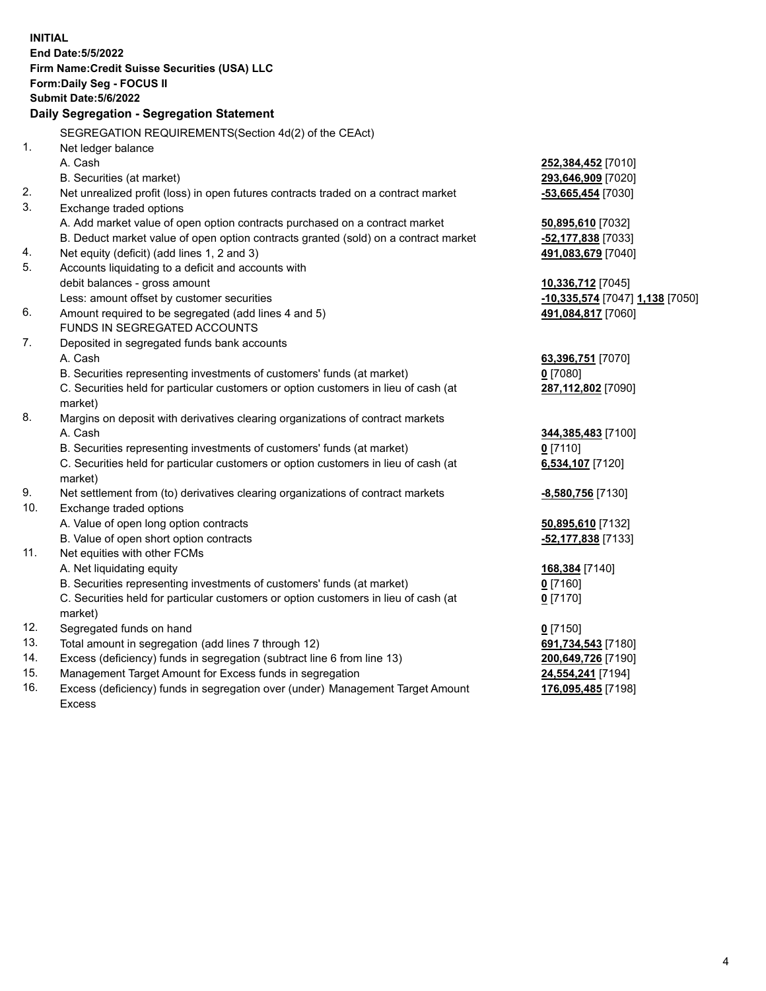|     | <b>INITIAL</b><br><b>End Date: 5/5/2022</b><br>Firm Name: Credit Suisse Securities (USA) LLC<br>Form: Daily Seg - FOCUS II<br>Submit Date: 5/6/2022 |                                 |
|-----|-----------------------------------------------------------------------------------------------------------------------------------------------------|---------------------------------|
|     | Daily Segregation - Segregation Statement                                                                                                           |                                 |
|     | SEGREGATION REQUIREMENTS(Section 4d(2) of the CEAct)                                                                                                |                                 |
| 1.  | Net ledger balance                                                                                                                                  |                                 |
|     | A. Cash                                                                                                                                             | 252,384,452 [7010]              |
|     | B. Securities (at market)                                                                                                                           | 293,646,909 [7020]              |
| 2.  | Net unrealized profit (loss) in open futures contracts traded on a contract market                                                                  | -53,665,454 [7030]              |
| 3.  | Exchange traded options                                                                                                                             |                                 |
|     | A. Add market value of open option contracts purchased on a contract market                                                                         | 50,895,610 [7032]               |
|     | B. Deduct market value of open option contracts granted (sold) on a contract market                                                                 | -52,177,838 [7033]              |
| 4.  | Net equity (deficit) (add lines 1, 2 and 3)                                                                                                         | 491,083,679 [7040]              |
| 5.  | Accounts liquidating to a deficit and accounts with                                                                                                 |                                 |
|     | debit balances - gross amount                                                                                                                       | 10,336,712 [7045]               |
|     | Less: amount offset by customer securities                                                                                                          | -10,335,574 [7047] 1,138 [7050] |
| 6.  | Amount required to be segregated (add lines 4 and 5)                                                                                                | 491,084,817 [7060]              |
|     | FUNDS IN SEGREGATED ACCOUNTS                                                                                                                        |                                 |
| 7.  | Deposited in segregated funds bank accounts                                                                                                         |                                 |
|     | A. Cash                                                                                                                                             | 63,396,751 [7070]               |
|     | B. Securities representing investments of customers' funds (at market)                                                                              | $0$ [7080]                      |
|     | C. Securities held for particular customers or option customers in lieu of cash (at                                                                 | 287,112,802 [7090]              |
|     | market)                                                                                                                                             |                                 |
| 8.  | Margins on deposit with derivatives clearing organizations of contract markets                                                                      |                                 |
|     | A. Cash                                                                                                                                             | 344,385,483 [7100]              |
|     | B. Securities representing investments of customers' funds (at market)                                                                              | $0$ [7110]                      |
|     | C. Securities held for particular customers or option customers in lieu of cash (at                                                                 | 6,534,107 [7120]                |
|     | market)                                                                                                                                             |                                 |
| 9.  | Net settlement from (to) derivatives clearing organizations of contract markets                                                                     | -8,580,756 [7130]               |
| 10. | Exchange traded options                                                                                                                             |                                 |
|     | A. Value of open long option contracts                                                                                                              | 50,895,610 [7132]               |
|     | B. Value of open short option contracts                                                                                                             | -52,177,838 [7133]              |
| 11. | Net equities with other FCMs                                                                                                                        |                                 |
|     | A. Net liquidating equity                                                                                                                           | 168,384 [7140]                  |
|     | B. Securities representing investments of customers' funds (at market)                                                                              | $0$ [7160]                      |
|     | C. Securities held for particular customers or option customers in lieu of cash (at                                                                 | $0$ [7170]                      |
|     | market)                                                                                                                                             |                                 |
| 12. | Segregated funds on hand                                                                                                                            | $0$ [7150]                      |
| 13. | Total amount in segregation (add lines 7 through 12)                                                                                                | 691,734,543 [7180]              |
| 14. | Excess (deficiency) funds in segregation (subtract line 6 from line 13)                                                                             | 200,649,726 [7190]              |
| 15. | Management Target Amount for Excess funds in segregation                                                                                            | 24,554,241 [7194]               |
| 16. | Excess (deficiency) funds in segregation over (under) Management Target Amount                                                                      | 176,095,485 [7198]              |
|     | <b>Excess</b>                                                                                                                                       |                                 |